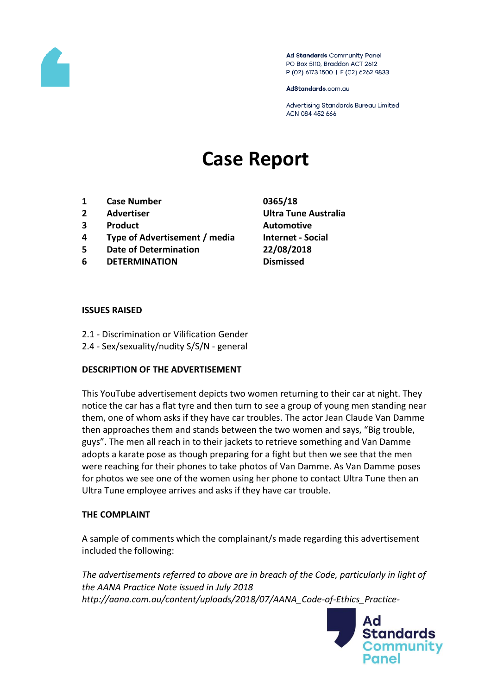

Ad Standards Community Panel PO Box 5110, Braddon ACT 2612 P (02) 6173 1500 | F (02) 6262 9833

AdStandards.com.au

Advertising Standards Bureau Limited ACN 084 452 666

# **Case Report**

- **1 Case Number 0365/18**
- 
- **3 Product Automotive**
- **4 Type of Advertisement / media Internet - Social**
- **5 Date of Determination 22/08/2018**
- **6 DETERMINATION Dismissed**
- **2 Advertiser Ultra Tune Australia**

#### **ISSUES RAISED**

- 2.1 Discrimination or Vilification Gender
- 2.4 Sex/sexuality/nudity S/S/N general

### **DESCRIPTION OF THE ADVERTISEMENT**

This YouTube advertisement depicts two women returning to their car at night. They notice the car has a flat tyre and then turn to see a group of young men standing near them, one of whom asks if they have car troubles. The actor Jean Claude Van Damme then approaches them and stands between the two women and says, "Big trouble, guys". The men all reach in to their jackets to retrieve something and Van Damme adopts a karate pose as though preparing for a fight but then we see that the men were reaching for their phones to take photos of Van Damme. As Van Damme poses for photos we see one of the women using her phone to contact Ultra Tune then an Ultra Tune employee arrives and asks if they have car trouble.

### **THE COMPLAINT**

A sample of comments which the complainant/s made regarding this advertisement included the following:

*The advertisements referred to above are in breach of the Code, particularly in light of the AANA Practice Note issued in July 2018 http://aana.com.au/content/uploads/2018/07/AANA\_Code-of-Ethics\_Practice-*

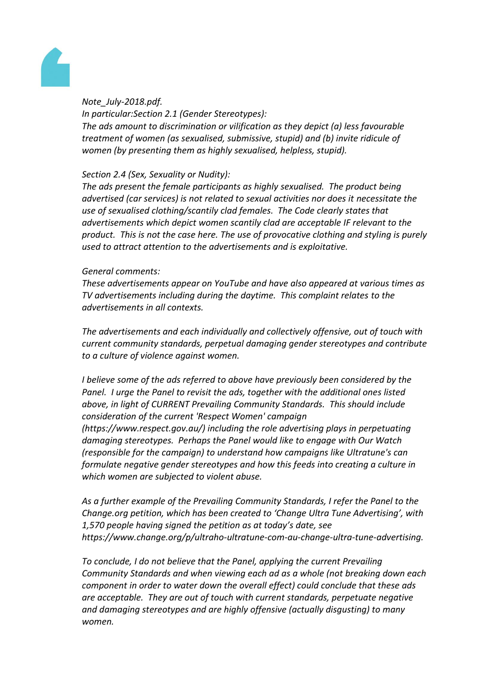

### *Note\_July-2018.pdf.*

*In particular:Section 2.1 (Gender Stereotypes): The ads amount to discrimination or vilification as they depict (a) less favourable treatment of women (as sexualised, submissive, stupid) and (b) invite ridicule of women (by presenting them as highly sexualised, helpless, stupid).*

### *Section 2.4 (Sex, Sexuality or Nudity):*

*The ads present the female participants as highly sexualised. The product being advertised (car services) is not related to sexual activities nor does it necessitate the use of sexualised clothing/scantily clad females. The Code clearly states that advertisements which depict women scantily clad are acceptable IF relevant to the product. This is not the case here. The use of provocative clothing and styling is purely used to attract attention to the advertisements and is exploitative.*

# *General comments:*

*These advertisements appear on YouTube and have also appeared at various times as TV advertisements including during the daytime. This complaint relates to the advertisements in all contexts.*

*The advertisements and each individually and collectively offensive, out of touch with current community standards, perpetual damaging gender stereotypes and contribute to a culture of violence against women.*

*I* believe some of the ads referred to above have previously been considered by the *Panel. I urge the Panel to revisit the ads, together with the additional ones listed above, in light of CURRENT Prevailing Community Standards. This should include consideration of the current 'Respect Women' campaign* 

*(https://www.respect.gov.au/) including the role advertising plays in perpetuating damaging stereotypes. Perhaps the Panel would like to engage with Our Watch (responsible for the campaign) to understand how campaigns like Ultratune's can formulate negative gender stereotypes and how this feeds into creating a culture in which women are subjected to violent abuse.*

*As a further example of the Prevailing Community Standards, I refer the Panel to the Change.org petition, which has been created to 'Change Ultra Tune Advertising', with 1,570 people having signed the petition as at today's date, see https://www.change.org/p/ultraho-ultratune-com-au-change-ultra-tune-advertising.*

*To conclude, I do not believe that the Panel, applying the current Prevailing Community Standards and when viewing each ad as a whole (not breaking down each component in order to water down the overall effect) could conclude that these ads are acceptable. They are out of touch with current standards, perpetuate negative and damaging stereotypes and are highly offensive (actually disgusting) to many women.*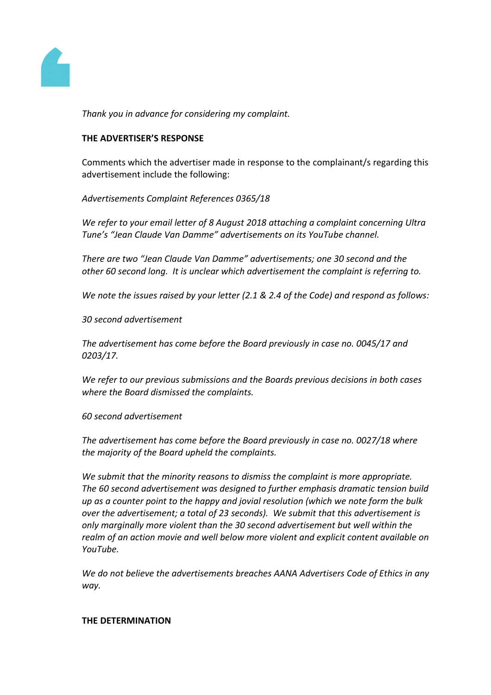

*Thank you in advance for considering my complaint.*

## **THE ADVERTISER'S RESPONSE**

Comments which the advertiser made in response to the complainant/s regarding this advertisement include the following:

*Advertisements Complaint References 0365/18*

*We refer to your email letter of 8 August 2018 attaching a complaint concerning Ultra Tune's "Jean Claude Van Damme" advertisements on its YouTube channel.*

*There are two "Jean Claude Van Damme" advertisements; one 30 second and the other 60 second long. It is unclear which advertisement the complaint is referring to.*

*We note the issues raised by your letter (2.1 & 2.4 of the Code) and respond as follows:*

*30 second advertisement*

*The advertisement has come before the Board previously in case no. 0045/17 and 0203/17.*

*We refer to our previous submissions and the Boards previous decisions in both cases where the Board dismissed the complaints.*

*60 second advertisement*

*The advertisement has come before the Board previously in case no. 0027/18 where the majority of the Board upheld the complaints.*

*We submit that the minority reasons to dismiss the complaint is more appropriate. The 60 second advertisement was designed to further emphasis dramatic tension build up as a counter point to the happy and jovial resolution (which we note form the bulk over the advertisement; a total of 23 seconds). We submit that this advertisement is only marginally more violent than the 30 second advertisement but well within the realm of an action movie and well below more violent and explicit content available on YouTube.*

*We do not believe the advertisements breaches AANA Advertisers Code of Ethics in any way.*

#### **THE DETERMINATION**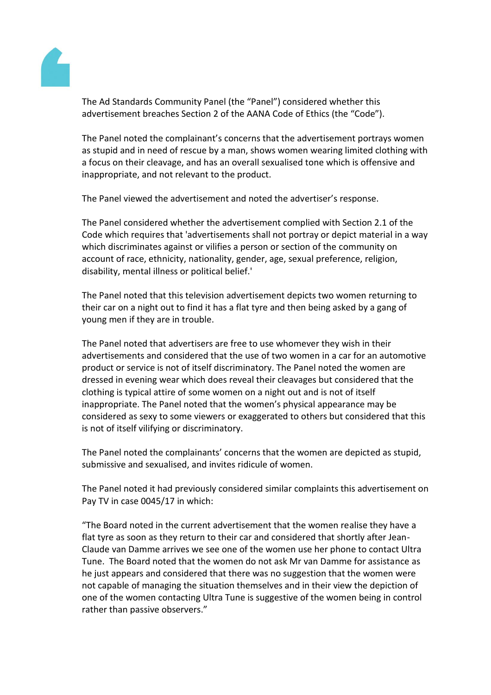

The Ad Standards Community Panel (the "Panel") considered whether this advertisement breaches Section 2 of the AANA Code of Ethics (the "Code").

The Panel noted the complainant's concerns that the advertisement portrays women as stupid and in need of rescue by a man, shows women wearing limited clothing with a focus on their cleavage, and has an overall sexualised tone which is offensive and inappropriate, and not relevant to the product.

The Panel viewed the advertisement and noted the advertiser's response.

The Panel considered whether the advertisement complied with Section 2.1 of the Code which requires that 'advertisements shall not portray or depict material in a way which discriminates against or vilifies a person or section of the community on account of race, ethnicity, nationality, gender, age, sexual preference, religion, disability, mental illness or political belief.'

The Panel noted that this television advertisement depicts two women returning to their car on a night out to find it has a flat tyre and then being asked by a gang of young men if they are in trouble.

The Panel noted that advertisers are free to use whomever they wish in their advertisements and considered that the use of two women in a car for an automotive product or service is not of itself discriminatory. The Panel noted the women are dressed in evening wear which does reveal their cleavages but considered that the clothing is typical attire of some women on a night out and is not of itself inappropriate. The Panel noted that the women's physical appearance may be considered as sexy to some viewers or exaggerated to others but considered that this is not of itself vilifying or discriminatory.

The Panel noted the complainants' concerns that the women are depicted as stupid, submissive and sexualised, and invites ridicule of women.

The Panel noted it had previously considered similar complaints this advertisement on Pay TV in case 0045/17 in which:

"The Board noted in the current advertisement that the women realise they have a flat tyre as soon as they return to their car and considered that shortly after Jean-Claude van Damme arrives we see one of the women use her phone to contact Ultra Tune. The Board noted that the women do not ask Mr van Damme for assistance as he just appears and considered that there was no suggestion that the women were not capable of managing the situation themselves and in their view the depiction of one of the women contacting Ultra Tune is suggestive of the women being in control rather than passive observers."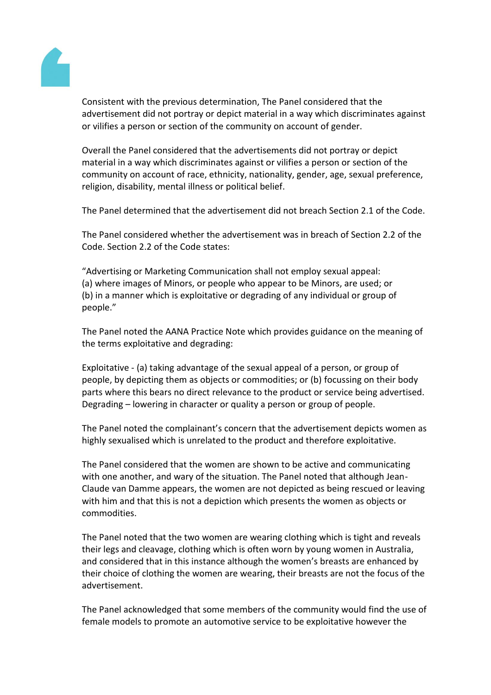

Consistent with the previous determination, The Panel considered that the advertisement did not portray or depict material in a way which discriminates against or vilifies a person or section of the community on account of gender.

Overall the Panel considered that the advertisements did not portray or depict material in a way which discriminates against or vilifies a person or section of the community on account of race, ethnicity, nationality, gender, age, sexual preference, religion, disability, mental illness or political belief.

The Panel determined that the advertisement did not breach Section 2.1 of the Code.

The Panel considered whether the advertisement was in breach of Section 2.2 of the Code. Section 2.2 of the Code states:

"Advertising or Marketing Communication shall not employ sexual appeal: (a) where images of Minors, or people who appear to be Minors, are used; or (b) in a manner which is exploitative or degrading of any individual or group of people."

The Panel noted the AANA Practice Note which provides guidance on the meaning of the terms exploitative and degrading:

Exploitative - (a) taking advantage of the sexual appeal of a person, or group of people, by depicting them as objects or commodities; or (b) focussing on their body parts where this bears no direct relevance to the product or service being advertised. Degrading – lowering in character or quality a person or group of people.

The Panel noted the complainant's concern that the advertisement depicts women as highly sexualised which is unrelated to the product and therefore exploitative.

The Panel considered that the women are shown to be active and communicating with one another, and wary of the situation. The Panel noted that although Jean-Claude van Damme appears, the women are not depicted as being rescued or leaving with him and that this is not a depiction which presents the women as objects or commodities.

The Panel noted that the two women are wearing clothing which is tight and reveals their legs and cleavage, clothing which is often worn by young women in Australia, and considered that in this instance although the women's breasts are enhanced by their choice of clothing the women are wearing, their breasts are not the focus of the advertisement.

The Panel acknowledged that some members of the community would find the use of female models to promote an automotive service to be exploitative however the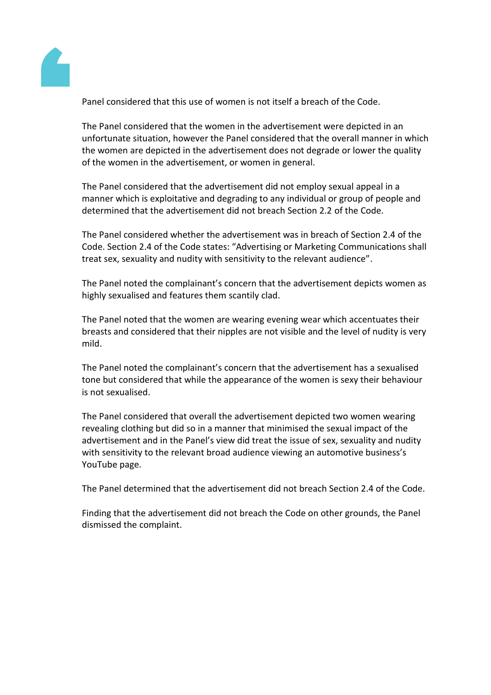

Panel considered that this use of women is not itself a breach of the Code.

The Panel considered that the women in the advertisement were depicted in an unfortunate situation, however the Panel considered that the overall manner in which the women are depicted in the advertisement does not degrade or lower the quality of the women in the advertisement, or women in general.

The Panel considered that the advertisement did not employ sexual appeal in a manner which is exploitative and degrading to any individual or group of people and determined that the advertisement did not breach Section 2.2 of the Code.

The Panel considered whether the advertisement was in breach of Section 2.4 of the Code. Section 2.4 of the Code states: "Advertising or Marketing Communications shall treat sex, sexuality and nudity with sensitivity to the relevant audience".

The Panel noted the complainant's concern that the advertisement depicts women as highly sexualised and features them scantily clad.

The Panel noted that the women are wearing evening wear which accentuates their breasts and considered that their nipples are not visible and the level of nudity is very mild.

The Panel noted the complainant's concern that the advertisement has a sexualised tone but considered that while the appearance of the women is sexy their behaviour is not sexualised.

The Panel considered that overall the advertisement depicted two women wearing revealing clothing but did so in a manner that minimised the sexual impact of the advertisement and in the Panel's view did treat the issue of sex, sexuality and nudity with sensitivity to the relevant broad audience viewing an automotive business's YouTube page.

The Panel determined that the advertisement did not breach Section 2.4 of the Code.

Finding that the advertisement did not breach the Code on other grounds, the Panel dismissed the complaint.